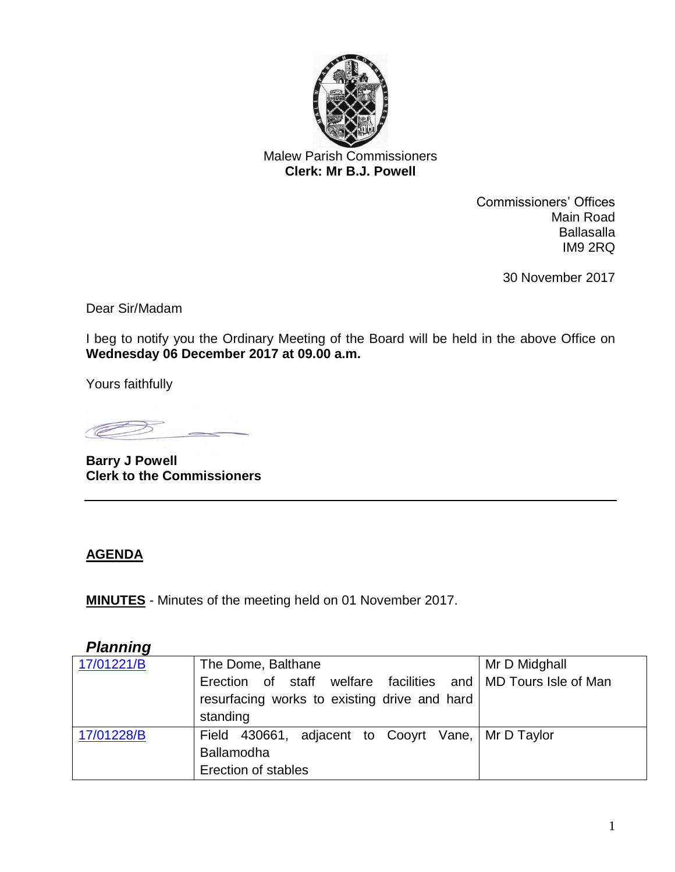

Malew Parish Commissioners **Clerk: Mr B.J. Powell** 

> Commissioners' Offices Main Road Ballasalla IM9 2RQ

> > 30 November 2017

Dear Sir/Madam

I beg to notify you the Ordinary Meeting of the Board will be held in the above Office on **Wednesday 06 December 2017 at 09.00 a.m.**

Yours faithfully

**COMPUTER** 

**Barry J Powell Clerk to the Commissioners**

#### **AGENDA**

**MINUTES** - Minutes of the meeting held on 01 November 2017.

# *Planning*

| 17/01221/B | The Dome, Balthane                                            | Mr D Midghall |
|------------|---------------------------------------------------------------|---------------|
|            | Erection of staff welfare facilities and MD Tours Isle of Man |               |
|            | resurfacing works to existing drive and hard                  |               |
|            | standing                                                      |               |
| 17/01228/B | Field 430661, adjacent to Cooyrt Vane,   Mr D Taylor          |               |
|            | Ballamodha                                                    |               |
|            | Erection of stables                                           |               |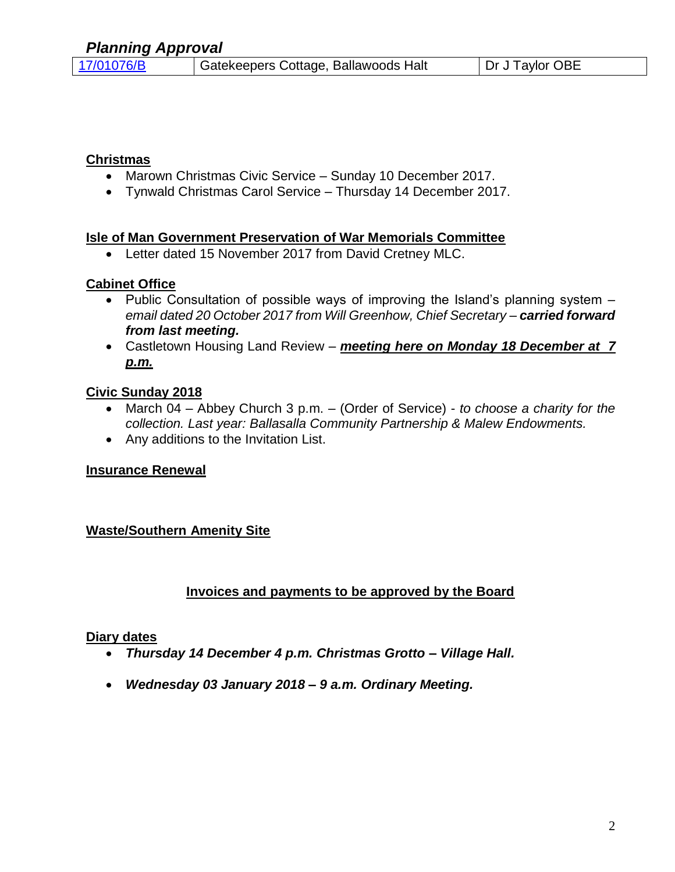#### **Christmas**

- Marown Christmas Civic Service Sunday 10 December 2017.
- Tynwald Christmas Carol Service Thursday 14 December 2017.

#### **Isle of Man Government Preservation of War Memorials Committee**

• Letter dated 15 November 2017 from David Cretney MLC.

### **Cabinet Office**

- Public Consultation of possible ways of improving the Island's planning system *email dated 20 October 2017 from Will Greenhow, Chief Secretary* – *carried forward from last meeting.*
- Castletown Housing Land Review *meeting here on Monday 18 December at 7 p.m.*

### **Civic Sunday 2018**

- March 04 Abbey Church 3 p.m. (Order of Service) *to choose a charity for the collection. Last year: Ballasalla Community Partnership & Malew Endowments.*
- Any additions to the Invitation List.

### **Insurance Renewal**

### **Waste/Southern Amenity Site**

### **Invoices and payments to be approved by the Board**

#### **Diary dates**

- *Thursday 14 December 4 p.m. Christmas Grotto – Village Hall.*
- *Wednesday 03 January 2018 – 9 a.m. Ordinary Meeting.*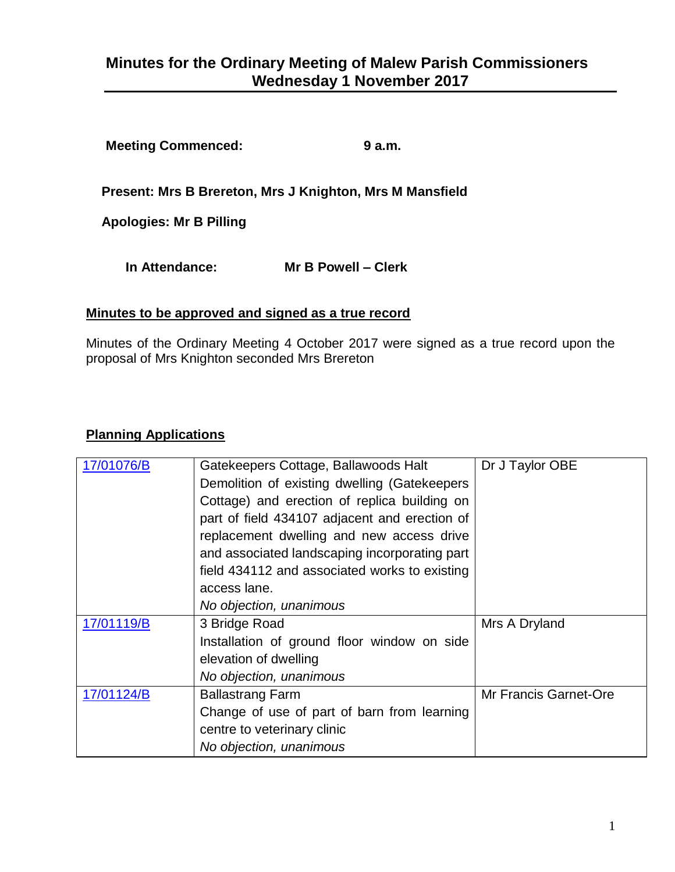# **Minutes for the Ordinary Meeting of Malew Parish Commissioners Wednesday 1 November 2017**

**Meeting Commenced: 9 a.m.**

**Present: Mrs B Brereton, Mrs J Knighton, Mrs M Mansfield**

**Apologies: Mr B Pilling**

**In Attendance: Mr B Powell – Clerk**

#### **Minutes to be approved and signed as a true record**

Minutes of the Ordinary Meeting 4 October 2017 were signed as a true record upon the proposal of Mrs Knighton seconded Mrs Brereton

#### **Planning Applications**

| 17/01076/B | Gatekeepers Cottage, Ballawoods Halt          | Dr J Taylor OBE              |
|------------|-----------------------------------------------|------------------------------|
|            | Demolition of existing dwelling (Gatekeepers  |                              |
|            | Cottage) and erection of replica building on  |                              |
|            | part of field 434107 adjacent and erection of |                              |
|            | replacement dwelling and new access drive     |                              |
|            | and associated landscaping incorporating part |                              |
|            | field 434112 and associated works to existing |                              |
|            | access lane.                                  |                              |
|            | No objection, unanimous                       |                              |
| 17/01119/B | 3 Bridge Road                                 | Mrs A Dryland                |
|            | Installation of ground floor window on side   |                              |
|            | elevation of dwelling                         |                              |
|            | No objection, unanimous                       |                              |
| 17/01124/B | <b>Ballastrang Farm</b>                       | <b>Mr Francis Garnet-Ore</b> |
|            | Change of use of part of barn from learning   |                              |
|            | centre to veterinary clinic                   |                              |
|            | No objection, unanimous                       |                              |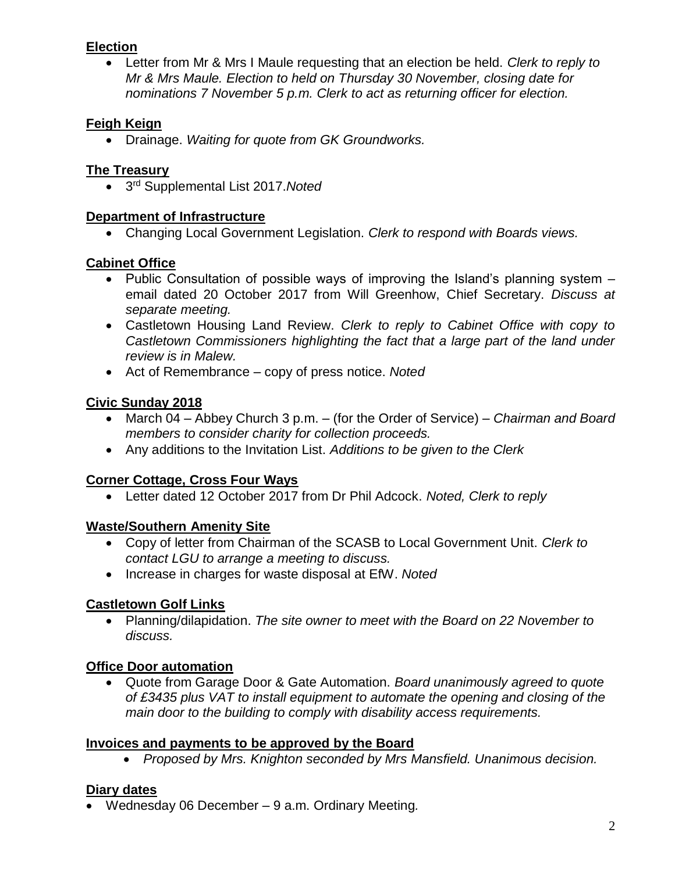#### **Election**

• Letter from Mr & Mrs I Maule requesting that an election be held. *Clerk to reply to Mr & Mrs Maule. Election to held on Thursday 30 November, closing date for nominations 7 November 5 p.m. Clerk to act as returning officer for election.*

# **Feigh Keign**

• Drainage. *Waiting for quote from GK Groundworks.*

### **The Treasury**

• 3 rd Supplemental List 2017.*Noted*

#### **Department of Infrastructure**

• Changing Local Government Legislation. *Clerk to respond with Boards views.*

### **Cabinet Office**

- Public Consultation of possible ways of improving the Island's planning system email dated 20 October 2017 from Will Greenhow, Chief Secretary. *Discuss at separate meeting.*
- Castletown Housing Land Review. *Clerk to reply to Cabinet Office with copy to Castletown Commissioners highlighting the fact that a large part of the land under review is in Malew.*
- Act of Remembrance copy of press notice. *Noted*

# **Civic Sunday 2018**

- March 04 Abbey Church 3 p.m. (for the Order of Service) *Chairman and Board members to consider charity for collection proceeds.*
- Any additions to the Invitation List. *Additions to be given to the Clerk*

### **Corner Cottage, Cross Four Ways**

• Letter dated 12 October 2017 from Dr Phil Adcock. *Noted, Clerk to reply*

### **Waste/Southern Amenity Site**

- Copy of letter from Chairman of the SCASB to Local Government Unit. *Clerk to contact LGU to arrange a meeting to discuss.*
- Increase in charges for waste disposal at EfW. *Noted*

### **Castletown Golf Links**

• Planning/dilapidation. *The site owner to meet with the Board on 22 November to discuss.*

### **Office Door automation**

• Quote from Garage Door & Gate Automation. *Board unanimously agreed to quote of £3435 plus VAT to install equipment to automate the opening and closing of the main door to the building to comply with disability access requirements.*

### **Invoices and payments to be approved by the Board**

• *Proposed by Mrs. Knighton seconded by Mrs Mansfield. Unanimous decision.*

### **Diary dates**

• Wednesday 06 December – 9 a.m. Ordinary Meeting*.*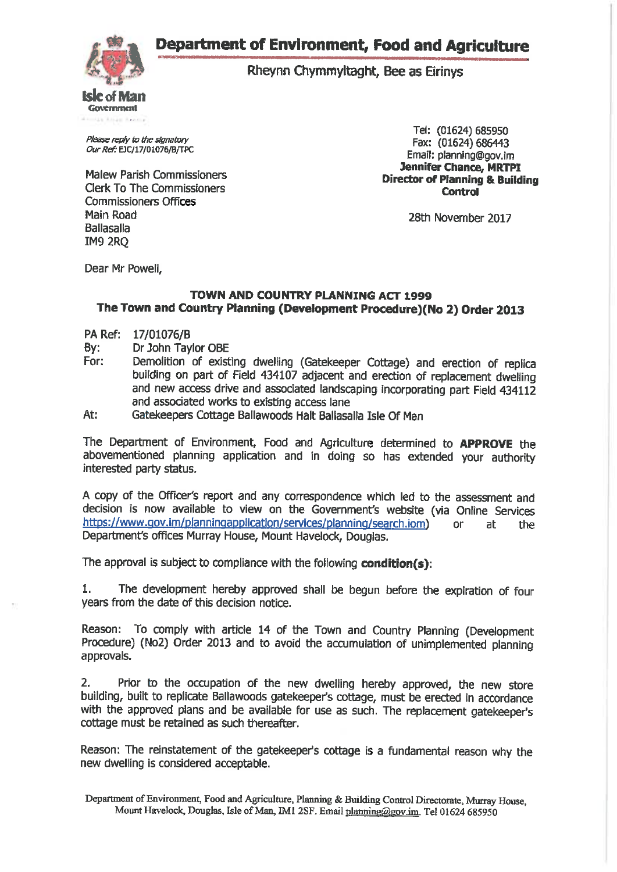**Department of Environment, Food and Agriculture** 



Rheynn Chymmyltaght, Bee as Eirinys

Please reply to the signatory Our Ref: EJC/17/01076/B/TPC

**Malew Parish Commissioners Clerk To The Commissioners Commissioners Offices** Main Road **Ballasalla IM9 2RO** 

Tel: (01624) 685950 Fax: (01624) 686443 Email: planning@gov.im **Jennifer Chance, MRTPI Director of Planning & Building Control** 

28th November 2017

Dear Mr Powell.

#### **TOWN AND COUNTRY PLANNING ACT 1999** The Town and Country Planning (Development Procedure)(No 2) Order 2013

- PA Ref: 17/01076/B
- Dr John Tavlor OBE By:
- For: Demolition of existing dwelling (Gatekeeper Cottage) and erection of replica building on part of Field 434107 adjacent and erection of replacement dwelling and new access drive and associated landscaping incorporating part Field 434112 and associated works to existing access lane
- At: Gatekeepers Cottage Ballawoods Halt Ballasalla Isle Of Man

The Department of Environment, Food and Agriculture determined to APPROVE the abovementioned planning application and in doing so has extended your authority interested party status.

A copy of the Officer's report and any correspondence which led to the assessment and decision is now available to view on the Government's website (via Online Services https://www.gov.im/planningapplication/services/planning/search.iom) or at. the Department's offices Murray House, Mount Havelock, Douglas.

The approval is subject to compliance with the following condition(s):

The development hereby approved shall be begun before the expiration of four  $1.$ years from the date of this decision notice.

Reason: To comply with article 14 of the Town and Country Planning (Development Procedure) (No2) Order 2013 and to avoid the accumulation of unimplemented planning approvals.

 $2.$ Prior to the occupation of the new dwelling hereby approved, the new store building, built to replicate Ballawoods gatekeeper's cottage, must be erected in accordance with the approved plans and be available for use as such. The replacement gatekeeper's cottage must be retained as such thereafter.

Reason: The reinstatement of the gatekeeper's cottage is a fundamental reason why the new dwelling is considered acceptable.

Department of Environment, Food and Agriculture, Planning & Building Control Directorate, Murray House. Mount Havelock, Douglas, Isle of Man, IM1 2SF. Email planning@gov.im. Tel 01624 685950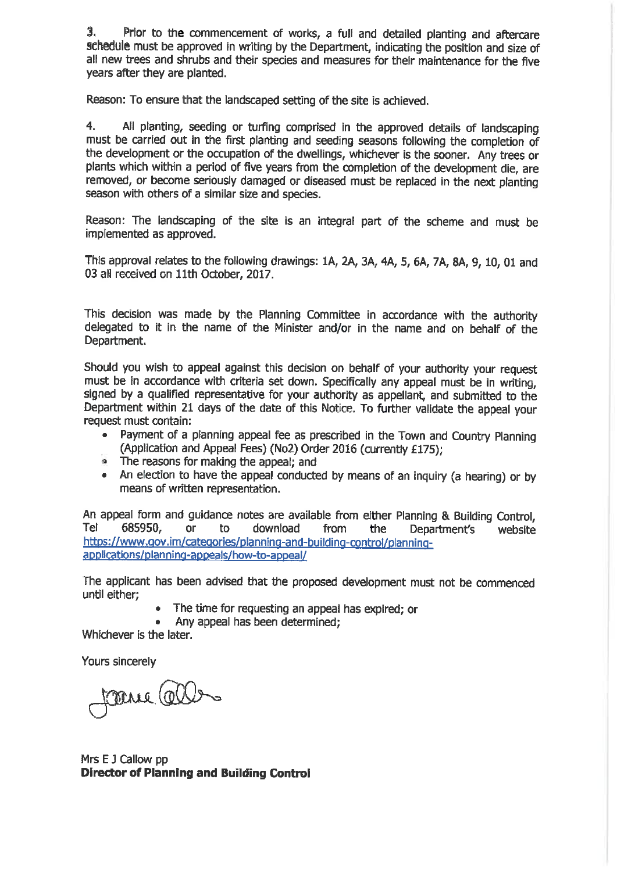3. Prior to the commencement of works, a full and detailed planting and aftercare schedule must be approved in writing by the Department, indicating the position and size of all new trees and shrubs and their species and measures for their maintenance for the five years after they are planted.

Reason: To ensure that the landscaped setting of the site is achieved.

 $4.$ All planting, seeding or turfing comprised in the approved details of landscaping must be carried out in the first planting and seeding seasons following the completion of the development or the occupation of the dwellings, whichever is the sooner. Any trees or plants which within a period of five years from the completion of the development die, are removed, or become seriously damaged or diseased must be replaced in the next planting season with others of a similar size and species.

Reason: The landscaping of the site is an integral part of the scheme and must be implemented as approved.

This approval relates to the following drawings: 1A, 2A, 3A, 4A, 5, 6A, 7A, 8A, 9, 10, 01 and 03 all received on 11th October, 2017.

This decision was made by the Planning Committee in accordance with the authority delegated to it in the name of the Minister and/or in the name and on behalf of the Department.

Should you wish to appeal against this decision on behalf of your authority your request must be in accordance with criteria set down. Specifically any appeal must be in writing, signed by a qualified representative for your authority as appellant, and submitted to the Department within 21 days of the date of this Notice. To further validate the appeal your request must contain:

- . Payment of a planning appeal fee as prescribed in the Town and Country Planning (Application and Appeal Fees) (No2) Order 2016 (currently £175):
- The reasons for making the appeal: and
- An election to have the appeal conducted by means of an inquiry (a hearing) or by means of written representation.

An appeal form and guidance notes are available from either Planning & Building Control, Tel 685950. **or** download to from the Department's website https://www.gov.im/categories/planning-and-building-control/planningapplications/planning-appeals/how-to-appeal/

The applicant has been advised that the proposed development must not be commenced until either:

- The time for requesting an appeal has expired; or
- Any appeal has been determined:

Whichever is the later.

Yours sincerely

taene (al

Mrs E J Callow pp **Director of Planning and Building Control**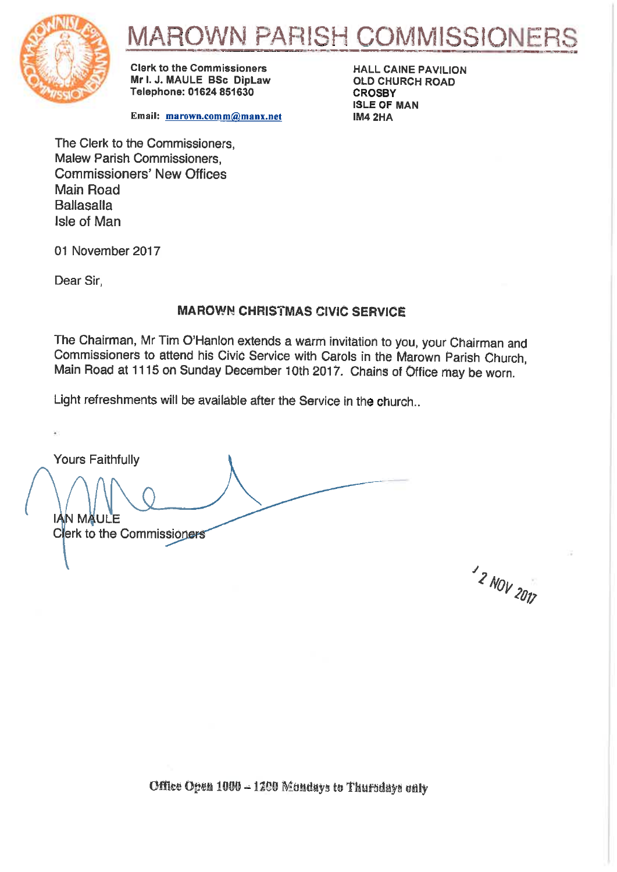

# ROWN PARISH COMMISSIONER

**Clark to the Commissioners** Mr I. J. MAULE BSc DipLaw Telephone: 01624 851630

Email: marown.comm@manx.net

**HALL CAINE PAVILION OLD CHURCH ROAD CROSBY ISLE OF MAN IM4 2HA** 

The Clerk to the Commissioners. **Malew Parish Commissioners. Commissioners' New Offices** Main Road **Ballasalla Isle of Man** 

01 November 2017

Dear Sir.

#### **MAROWN CHRISTMAS CIVIC SERVICE**

The Chairman, Mr Tim O'Hanlon extends a warm invitation to you, your Chairman and Commissioners to attend his Civic Service with Carols in the Marown Parish Church, Main Road at 1115 on Sunday December 10th 2017. Chains of Office may be worn.

Light refreshments will be available after the Service in the church..

**Yours Faithfully** 

IÁN MÄULE **Clerk to the Commissioners** 

<sup>1</sup>2 NOV 2017

Office Open 1000 - 1200 Mondays to Thursdays only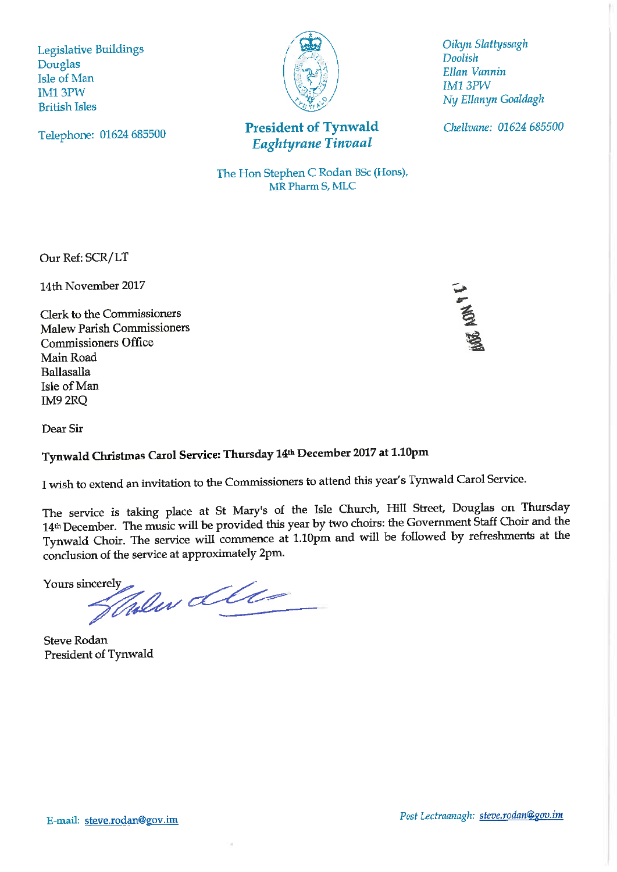**Legislative Buildings** Douglas Isle of Man **IM13PW British Isles** 



**President of Tynwald** Eaghtyrane Tinvaal

Oikyn Slattyssagh **Doolish** Ellan Vannin **IM1 3PW** Ny Ellanyn Goaldagh

Chellvane: 01624 685500

Telephone: 01624 685500

The Hon Stephen C Rodan BSc (Hons), MR Pharm S, MLC

Our Ref: SCR/LT

14th November 2017

Clerk to the Commissioners **Malew Parish Commissioners Commissioners Office** Main Road **Ballasalla** Isle of Man IM9 2RQ

**ET LON PE** 

Dear Sir

# Tynwald Christmas Carol Service: Thursday 14th December 2017 at 1.10pm

I wish to extend an invitation to the Commissioners to attend this year's Tynwald Carol Service.

The service is taking place at St Mary's of the Isle Church, Hill Street, Douglas on Thursday 14th December. The music will be provided this year by two choirs: the Government Staff Choir and the Tynwald Choir. The service will commence at 1.10pm and will be followed by refreshments at the conclusion of the service at approximately 2pm.

Yours sincerely

Halen Lell

**Steve Rodan** President of Tynwald